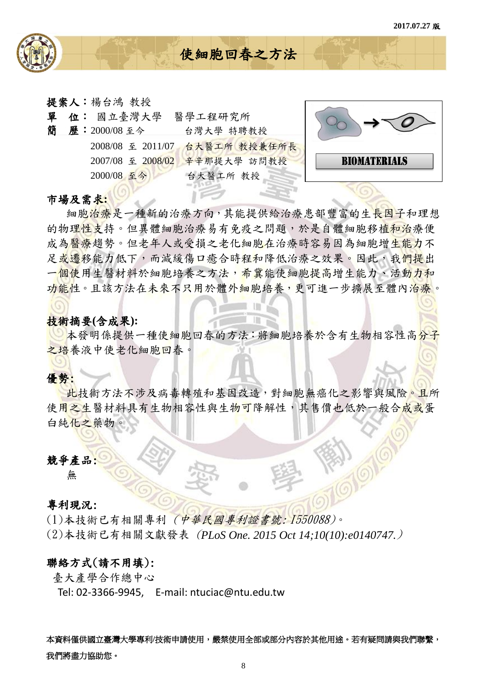

提案人:楊台鴻 教授

| 單<br>簡 | 位: 國立臺灣大學<br>歷:2000/08至今        | 醫學工程研究所<br>台灣大學 特聘教授    | $\rightarrow$       |
|--------|---------------------------------|-------------------------|---------------------|
|        | 2008/08 至 2011/07               | 台大醫工所 教授兼任所長            |                     |
|        | 2007/08 至 2008/02<br>2000/08 至今 | 辛辛那提大學 訪問教授<br>台大醫工所 教授 | <b>BIOMATERIALS</b> |
|        |                                 |                         |                     |

使細胞回春之方法

#### 市場及需求**:**

細胞治療是一種新的治療方向,其能提供給治療患部豐富的生長因子和理想 的物理性支持。但異體細胞治療易有免疫之問題,於是自體細胞移植和治療便 成為醫療趨勢。但老年人或受捐之老化細胞在治療時容易因為細胞增生能力不 足或遷移能力低下,而減緩傷口癒合時程和降低治療之效果。因此,我們提出 一個使用生醫材料於細胞培養之方法,希冀能使細胞提高增生能力、活動力和 功能性。且該方法在未來不只用於體外細胞培養,更可進一步擴展至體內治療。

## 技術摘要**(**含成果**):**

本發明係提供一種使細胞回春的方法:將細胞培養於含有生物相容性高分子 之培養液中使老化細胞回春。

III

# 優勢:

此技術方法不涉及病毒轉殖和基因改造,對細胞無癌化之影響與風險。且所 使用之生醫材料具有生物相容性與生物可降解性,其售價也低於一般合成或蛋 白純化之藥物。

### 競爭產品:

無

#### 專利現況:

(1)本技術已有相關專利 (中華民國專利證書號: I550088)。 (2)本技術已有相關文獻發表 (*PLoS One. 2015 Oct 14;10(10):e0140747.*)

# 聯絡方式(請不用填):

臺大產學合作總中心

Tel: 02-3366-9945, E-mail: ntuciac@ntu.edu.tw

本資料僅供國立臺灣大學專利/技術申請使用,嚴禁使用全部或部分內容於其他用途。若有疑問請與我們聯繫, 我們將盡力協助您。